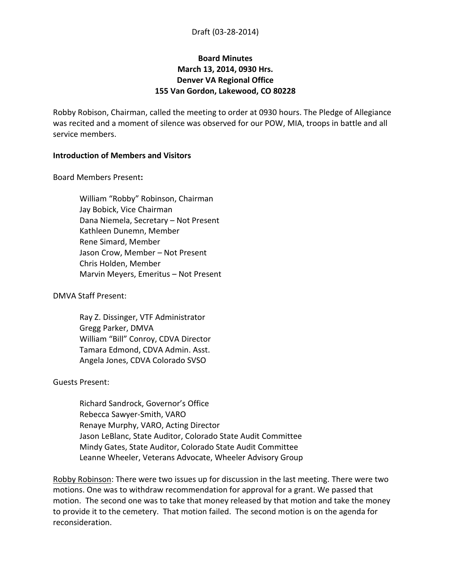## **Board Minutes March 13, 2014, 0930 Hrs. Denver VA Regional Office 155 Van Gordon, Lakewood, CO 80228**

Robby Robison, Chairman, called the meeting to order at 0930 hours. The Pledge of Allegiance was recited and a moment of silence was observed for our POW, MIA, troops in battle and all service members.

### **Introduction of Members and Visitors**

Board Members Present**:**

William "Robby" Robinson, Chairman Jay Bobick, Vice Chairman Dana Niemela, Secretary – Not Present Kathleen Dunemn, Member Rene Simard, Member Jason Crow, Member – Not Present Chris Holden, Member Marvin Meyers, Emeritus – Not Present

DMVA Staff Present:

Ray Z. Dissinger, VTF Administrator Gregg Parker, DMVA William "Bill" Conroy, CDVA Director Tamara Edmond, CDVA Admin. Asst. Angela Jones, CDVA Colorado SVSO

#### Guests Present:

Richard Sandrock, Governor's Office Rebecca Sawyer-Smith, VARO Renaye Murphy, VARO, Acting Director Jason LeBlanc, State Auditor, Colorado State Audit Committee Mindy Gates, State Auditor, Colorado State Audit Committee Leanne Wheeler, Veterans Advocate, Wheeler Advisory Group

Robby Robinson: There were two issues up for discussion in the last meeting. There were two motions. One was to withdraw recommendation for approval for a grant. We passed that motion. The second one was to take that money released by that motion and take the money to provide it to the cemetery. That motion failed. The second motion is on the agenda for reconsideration.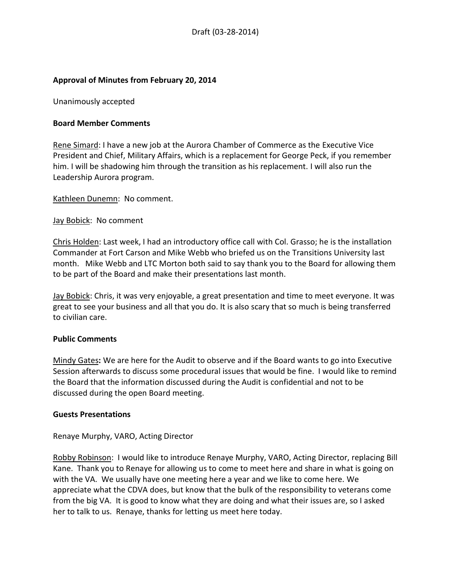### **Approval of Minutes from February 20, 2014**

Unanimously accepted

### **Board Member Comments**

Rene Simard: I have a new job at the Aurora Chamber of Commerce as the Executive Vice President and Chief, Military Affairs, which is a replacement for George Peck, if you remember him. I will be shadowing him through the transition as his replacement. I will also run the Leadership Aurora program.

Kathleen Dunemn: No comment.

### Jay Bobick: No comment

Chris Holden: Last week, I had an introductory office call with Col. Grasso; he is the installation Commander at Fort Carson and Mike Webb who briefed us on the Transitions University last month. Mike Webb and LTC Morton both said to say thank you to the Board for allowing them to be part of the Board and make their presentations last month.

Jay Bobick: Chris, it was very enjoyable, a great presentation and time to meet everyone. It was great to see your business and all that you do. It is also scary that so much is being transferred to civilian care.

#### **Public Comments**

Mindy Gates**:** We are here for the Audit to observe and if the Board wants to go into Executive Session afterwards to discuss some procedural issues that would be fine. I would like to remind the Board that the information discussed during the Audit is confidential and not to be discussed during the open Board meeting.

#### **Guests Presentations**

#### Renaye Murphy, VARO, Acting Director

Robby Robinson: I would like to introduce Renaye Murphy, VARO, Acting Director, replacing Bill Kane. Thank you to Renaye for allowing us to come to meet here and share in what is going on with the VA. We usually have one meeting here a year and we like to come here. We appreciate what the CDVA does, but know that the bulk of the responsibility to veterans come from the big VA. It is good to know what they are doing and what their issues are, so I asked her to talk to us. Renaye, thanks for letting us meet here today.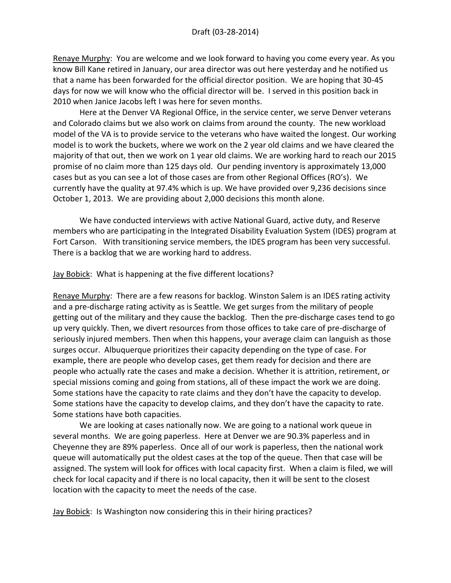Renaye Murphy: You are welcome and we look forward to having you come every year. As you know Bill Kane retired in January, our area director was out here yesterday and he notified us that a name has been forwarded for the official director position. We are hoping that 30-45 days for now we will know who the official director will be. I served in this position back in 2010 when Janice Jacobs left I was here for seven months.

Here at the Denver VA Regional Office, in the service center, we serve Denver veterans and Colorado claims but we also work on claims from around the county. The new workload model of the VA is to provide service to the veterans who have waited the longest. Our working model is to work the buckets, where we work on the 2 year old claims and we have cleared the majority of that out, then we work on 1 year old claims. We are working hard to reach our 2015 promise of no claim more than 125 days old. Our pending inventory is approximately 13,000 cases but as you can see a lot of those cases are from other Regional Offices (RO's). We currently have the quality at 97.4% which is up. We have provided over 9,236 decisions since October 1, 2013. We are providing about 2,000 decisions this month alone.

We have conducted interviews with active National Guard, active duty, and Reserve members who are participating in the Integrated Disability Evaluation System (IDES) program at Fort Carson. With transitioning service members, the IDES program has been very successful. There is a backlog that we are working hard to address.

Jay Bobick: What is happening at the five different locations?

Renaye Murphy: There are a few reasons for backlog. Winston Salem is an IDES rating activity and a pre-discharge rating activity as is Seattle. We get surges from the military of people getting out of the military and they cause the backlog. Then the pre-discharge cases tend to go up very quickly. Then, we divert resources from those offices to take care of pre-discharge of seriously injured members. Then when this happens, your average claim can languish as those surges occur. Albuquerque prioritizes their capacity depending on the type of case. For example, there are people who develop cases, get them ready for decision and there are people who actually rate the cases and make a decision. Whether it is attrition, retirement, or special missions coming and going from stations, all of these impact the work we are doing. Some stations have the capacity to rate claims and they don't have the capacity to develop. Some stations have the capacity to develop claims, and they don't have the capacity to rate. Some stations have both capacities.

We are looking at cases nationally now. We are going to a national work queue in several months. We are going paperless. Here at Denver we are 90.3% paperless and in Cheyenne they are 89% paperless. Once all of our work is paperless, then the national work queue will automatically put the oldest cases at the top of the queue. Then that case will be assigned. The system will look for offices with local capacity first. When a claim is filed, we will check for local capacity and if there is no local capacity, then it will be sent to the closest location with the capacity to meet the needs of the case.

Jay Bobick: Is Washington now considering this in their hiring practices?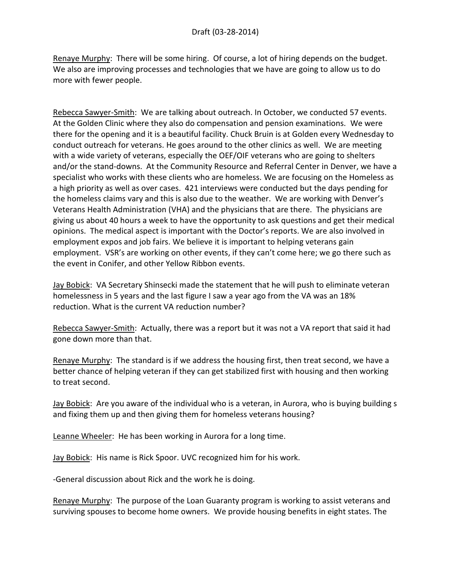Renaye Murphy: There will be some hiring. Of course, a lot of hiring depends on the budget. We also are improving processes and technologies that we have are going to allow us to do more with fewer people.

Rebecca Sawyer-Smith: We are talking about outreach. In October, we conducted 57 events. At the Golden Clinic where they also do compensation and pension examinations. We were there for the opening and it is a beautiful facility. Chuck Bruin is at Golden every Wednesday to conduct outreach for veterans. He goes around to the other clinics as well. We are meeting with a wide variety of veterans, especially the OEF/OIF veterans who are going to shelters and/or the stand-downs. At the Community Resource and Referral Center in Denver, we have a specialist who works with these clients who are homeless. We are focusing on the Homeless as a high priority as well as over cases. 421 interviews were conducted but the days pending for the homeless claims vary and this is also due to the weather. We are working with Denver's Veterans Health Administration (VHA) and the physicians that are there. The physicians are giving us about 40 hours a week to have the opportunity to ask questions and get their medical opinions. The medical aspect is important with the Doctor's reports. We are also involved in employment expos and job fairs. We believe it is important to helping veterans gain employment. VSR's are working on other events, if they can't come here; we go there such as the event in Conifer, and other Yellow Ribbon events.

Jay Bobick: VA Secretary Shinsecki made the statement that he will push to eliminate veteran homelessness in 5 years and the last figure I saw a year ago from the VA was an 18% reduction. What is the current VA reduction number?

Rebecca Sawyer-Smith: Actually, there was a report but it was not a VA report that said it had gone down more than that.

Renaye Murphy: The standard is if we address the housing first, then treat second, we have a better chance of helping veteran if they can get stabilized first with housing and then working to treat second.

Jay Bobick: Are you aware of the individual who is a veteran, in Aurora, who is buying building s and fixing them up and then giving them for homeless veterans housing?

Leanne Wheeler: He has been working in Aurora for a long time.

Jay Bobick: His name is Rick Spoor. UVC recognized him for his work.

-General discussion about Rick and the work he is doing.

Renaye Murphy: The purpose of the Loan Guaranty program is working to assist veterans and surviving spouses to become home owners. We provide housing benefits in eight states. The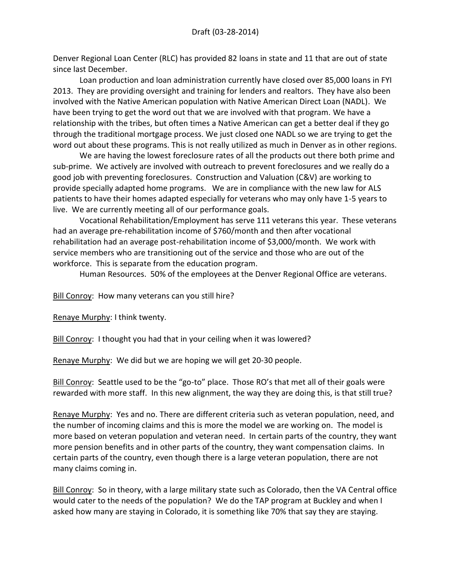Denver Regional Loan Center (RLC) has provided 82 loans in state and 11 that are out of state since last December.

Loan production and loan administration currently have closed over 85,000 loans in FYI 2013. They are providing oversight and training for lenders and realtors. They have also been involved with the Native American population with Native American Direct Loan (NADL). We have been trying to get the word out that we are involved with that program. We have a relationship with the tribes, but often times a Native American can get a better deal if they go through the traditional mortgage process. We just closed one NADL so we are trying to get the word out about these programs. This is not really utilized as much in Denver as in other regions.

We are having the lowest foreclosure rates of all the products out there both prime and sub-prime. We actively are involved with outreach to prevent foreclosures and we really do a good job with preventing foreclosures. Construction and Valuation (C&V) are working to provide specially adapted home programs. We are in compliance with the new law for ALS patients to have their homes adapted especially for veterans who may only have 1-5 years to live. We are currently meeting all of our performance goals.

Vocational Rehabilitation/Employment has serve 111 veterans this year. These veterans had an average pre-rehabilitation income of \$760/month and then after vocational rehabilitation had an average post-rehabilitation income of \$3,000/month. We work with service members who are transitioning out of the service and those who are out of the workforce. This is separate from the education program.

Human Resources. 50% of the employees at the Denver Regional Office are veterans.

Bill Conroy: How many veterans can you still hire?

Renaye Murphy: I think twenty.

Bill Conroy: I thought you had that in your ceiling when it was lowered?

Renaye Murphy: We did but we are hoping we will get 20-30 people.

Bill Conroy: Seattle used to be the "go-to" place. Those RO's that met all of their goals were rewarded with more staff. In this new alignment, the way they are doing this, is that still true?

Renaye Murphy: Yes and no. There are different criteria such as veteran population, need, and the number of incoming claims and this is more the model we are working on. The model is more based on veteran population and veteran need. In certain parts of the country, they want more pension benefits and in other parts of the country, they want compensation claims. In certain parts of the country, even though there is a large veteran population, there are not many claims coming in.

Bill Conroy: So in theory, with a large military state such as Colorado, then the VA Central office would cater to the needs of the population? We do the TAP program at Buckley and when I asked how many are staying in Colorado, it is something like 70% that say they are staying.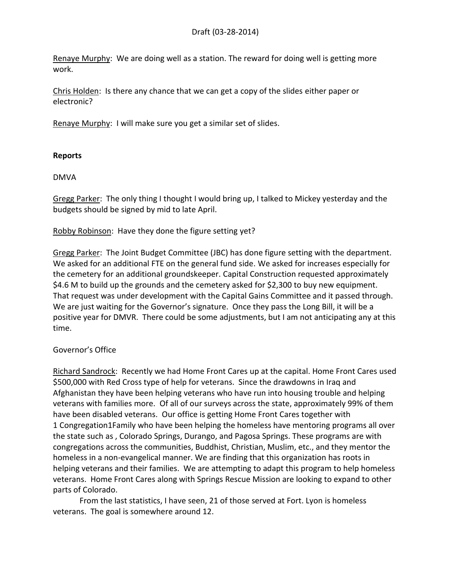Renaye Murphy: We are doing well as a station. The reward for doing well is getting more work.

Chris Holden: Is there any chance that we can get a copy of the slides either paper or electronic?

Renaye Murphy: I will make sure you get a similar set of slides.

## **Reports**

DMVA

Gregg Parker: The only thing I thought I would bring up, I talked to Mickey yesterday and the budgets should be signed by mid to late April.

Robby Robinson: Have they done the figure setting yet?

Gregg Parker: The Joint Budget Committee (JBC) has done figure setting with the department. We asked for an additional FTE on the general fund side. We asked for increases especially for the cemetery for an additional groundskeeper. Capital Construction requested approximately \$4.6 M to build up the grounds and the cemetery asked for \$2,300 to buy new equipment. That request was under development with the Capital Gains Committee and it passed through. We are just waiting for the Governor's signature. Once they pass the Long Bill, it will be a positive year for DMVR. There could be some adjustments, but I am not anticipating any at this time.

## Governor's Office

Richard Sandrock: Recently we had Home Front Cares up at the capital. Home Front Cares used \$500,000 with Red Cross type of help for veterans. Since the drawdowns in Iraq and Afghanistan they have been helping veterans who have run into housing trouble and helping veterans with families more. Of all of our surveys across the state, approximately 99% of them have been disabled veterans. Our office is getting Home Front Cares together with 1 Congregation1Family who have been helping the homeless have mentoring programs all over the state such as , Colorado Springs, Durango, and Pagosa Springs. These programs are with congregations across the communities, Buddhist, Christian, Muslim, etc., and they mentor the homeless in a non-evangelical manner. We are finding that this organization has roots in helping veterans and their families. We are attempting to adapt this program to help homeless veterans. Home Front Cares along with Springs Rescue Mission are looking to expand to other parts of Colorado.

From the last statistics, I have seen, 21 of those served at Fort. Lyon is homeless veterans. The goal is somewhere around 12.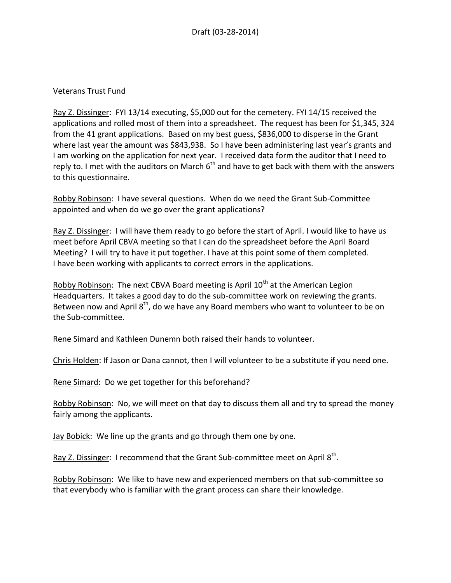## Veterans Trust Fund

Ray Z. Dissinger: FYI 13/14 executing, \$5,000 out for the cemetery. FYI 14/15 received the applications and rolled most of them into a spreadsheet. The request has been for \$1,345, 324 from the 41 grant applications. Based on my best guess, \$836,000 to disperse in the Grant where last year the amount was \$843,938. So I have been administering last year's grants and I am working on the application for next year. I received data form the auditor that I need to reply to. I met with the auditors on March  $6<sup>th</sup>$  and have to get back with them with the answers to this questionnaire.

Robby Robinson: I have several questions. When do we need the Grant Sub-Committee appointed and when do we go over the grant applications?

Ray Z. Dissinger: I will have them ready to go before the start of April. I would like to have us meet before April CBVA meeting so that I can do the spreadsheet before the April Board Meeting? I will try to have it put together. I have at this point some of them completed. I have been working with applicants to correct errors in the applications.

Robby Robinson: The next CBVA Board meeting is April  $10<sup>th</sup>$  at the American Legion Headquarters. It takes a good day to do the sub-committee work on reviewing the grants. Between now and April 8<sup>th</sup>, do we have any Board members who want to volunteer to be on the Sub-committee.

Rene Simard and Kathleen Dunemn both raised their hands to volunteer.

Chris Holden: If Jason or Dana cannot, then I will volunteer to be a substitute if you need one.

Rene Simard: Do we get together for this beforehand?

Robby Robinson: No, we will meet on that day to discuss them all and try to spread the money fairly among the applicants.

Jay Bobick: We line up the grants and go through them one by one.

Ray Z. Dissinger: I recommend that the Grant Sub-committee meet on April 8<sup>th</sup>.

Robby Robinson: We like to have new and experienced members on that sub-committee so that everybody who is familiar with the grant process can share their knowledge.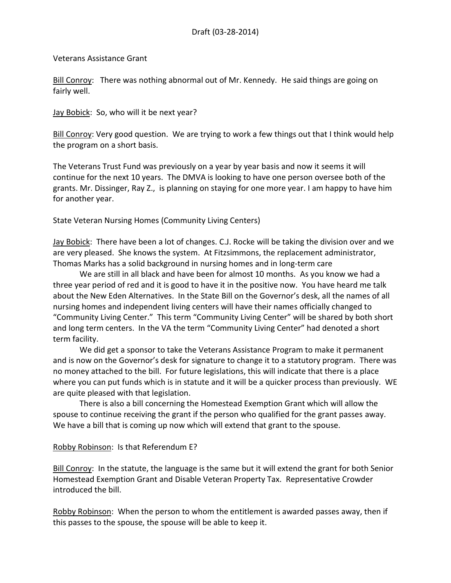Veterans Assistance Grant

Bill Conroy: There was nothing abnormal out of Mr. Kennedy. He said things are going on fairly well.

Jay Bobick: So, who will it be next year?

Bill Conroy: Very good question. We are trying to work a few things out that I think would help the program on a short basis.

The Veterans Trust Fund was previously on a year by year basis and now it seems it will continue for the next 10 years. The DMVA is looking to have one person oversee both of the grants. Mr. Dissinger, Ray Z., is planning on staying for one more year. I am happy to have him for another year.

State Veteran Nursing Homes (Community Living Centers)

Jay Bobick: There have been a lot of changes. C.J. Rocke will be taking the division over and we are very pleased. She knows the system. At Fitzsimmons, the replacement administrator, Thomas Marks has a solid background in nursing homes and in long-term care

We are still in all black and have been for almost 10 months. As you know we had a three year period of red and it is good to have it in the positive now. You have heard me talk about the New Eden Alternatives. In the State Bill on the Governor's desk, all the names of all nursing homes and independent living centers will have their names officially changed to "Community Living Center." This term "Community Living Center" will be shared by both short and long term centers. In the VA the term "Community Living Center" had denoted a short term facility.

We did get a sponsor to take the Veterans Assistance Program to make it permanent and is now on the Governor's desk for signature to change it to a statutory program. There was no money attached to the bill. For future legislations, this will indicate that there is a place where you can put funds which is in statute and it will be a quicker process than previously. WE are quite pleased with that legislation.

There is also a bill concerning the Homestead Exemption Grant which will allow the spouse to continue receiving the grant if the person who qualified for the grant passes away. We have a bill that is coming up now which will extend that grant to the spouse.

Robby Robinson: Is that Referendum E?

Bill Conroy: In the statute, the language is the same but it will extend the grant for both Senior Homestead Exemption Grant and Disable Veteran Property Tax. Representative Crowder introduced the bill.

Robby Robinson: When the person to whom the entitlement is awarded passes away, then if this passes to the spouse, the spouse will be able to keep it.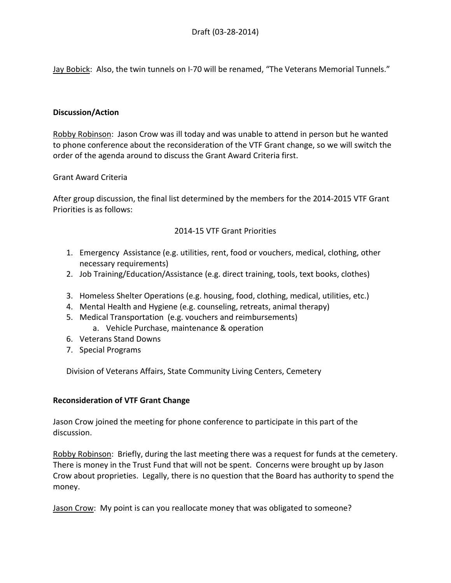Jay Bobick: Also, the twin tunnels on I-70 will be renamed, "The Veterans Memorial Tunnels."

### **Discussion/Action**

Robby Robinson: Jason Crow was ill today and was unable to attend in person but he wanted to phone conference about the reconsideration of the VTF Grant change, so we will switch the order of the agenda around to discuss the Grant Award Criteria first.

### Grant Award Criteria

After group discussion, the final list determined by the members for the 2014-2015 VTF Grant Priorities is as follows:

# 2014-15 VTF Grant Priorities

- 1. Emergency Assistance (e.g. utilities, rent, food or vouchers, medical, clothing, other necessary requirements)
- 2. Job Training/Education/Assistance (e.g. direct training, tools, text books, clothes)
- 3. Homeless Shelter Operations (e.g. housing, food, clothing, medical, utilities, etc.)
- 4. Mental Health and Hygiene (e.g. counseling, retreats, animal therapy)
- 5. Medical Transportation (e.g. vouchers and reimbursements)
	- a. Vehicle Purchase, maintenance & operation
- 6. Veterans Stand Downs
- 7. Special Programs

Division of Veterans Affairs, State Community Living Centers, Cemetery

## **Reconsideration of VTF Grant Change**

Jason Crow joined the meeting for phone conference to participate in this part of the discussion.

Robby Robinson: Briefly, during the last meeting there was a request for funds at the cemetery. There is money in the Trust Fund that will not be spent. Concerns were brought up by Jason Crow about proprieties. Legally, there is no question that the Board has authority to spend the money.

Jason Crow: My point is can you reallocate money that was obligated to someone?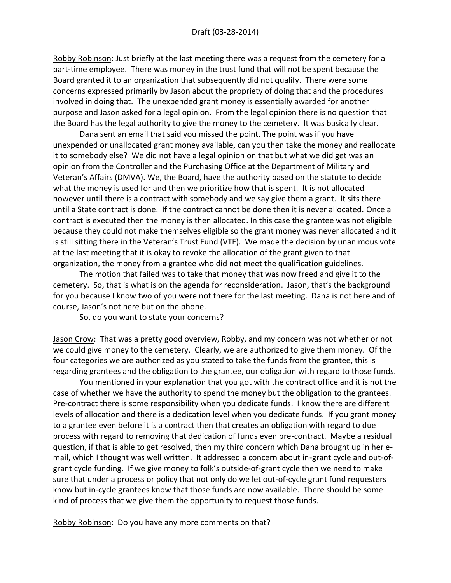Robby Robinson: Just briefly at the last meeting there was a request from the cemetery for a part-time employee. There was money in the trust fund that will not be spent because the Board granted it to an organization that subsequently did not qualify. There were some concerns expressed primarily by Jason about the propriety of doing that and the procedures involved in doing that. The unexpended grant money is essentially awarded for another purpose and Jason asked for a legal opinion. From the legal opinion there is no question that the Board has the legal authority to give the money to the cemetery. It was basically clear.

Dana sent an email that said you missed the point. The point was if you have unexpended or unallocated grant money available, can you then take the money and reallocate it to somebody else? We did not have a legal opinion on that but what we did get was an opinion from the Controller and the Purchasing Office at the Department of Military and Veteran's Affairs (DMVA). We, the Board, have the authority based on the statute to decide what the money is used for and then we prioritize how that is spent. It is not allocated however until there is a contract with somebody and we say give them a grant. It sits there until a State contract is done. If the contract cannot be done then it is never allocated. Once a contract is executed then the money is then allocated. In this case the grantee was not eligible because they could not make themselves eligible so the grant money was never allocated and it is still sitting there in the Veteran's Trust Fund (VTF). We made the decision by unanimous vote at the last meeting that it is okay to revoke the allocation of the grant given to that organization, the money from a grantee who did not meet the qualification guidelines.

The motion that failed was to take that money that was now freed and give it to the cemetery. So, that is what is on the agenda for reconsideration. Jason, that's the background for you because I know two of you were not there for the last meeting. Dana is not here and of course, Jason's not here but on the phone.

So, do you want to state your concerns?

Jason Crow: That was a pretty good overview, Robby, and my concern was not whether or not we could give money to the cemetery. Clearly, we are authorized to give them money. Of the four categories we are authorized as you stated to take the funds from the grantee, this is regarding grantees and the obligation to the grantee, our obligation with regard to those funds.

You mentioned in your explanation that you got with the contract office and it is not the case of whether we have the authority to spend the money but the obligation to the grantees. Pre-contract there is some responsibility when you dedicate funds. I know there are different levels of allocation and there is a dedication level when you dedicate funds. If you grant money to a grantee even before it is a contract then that creates an obligation with regard to due process with regard to removing that dedication of funds even pre-contract. Maybe a residual question, if that is able to get resolved, then my third concern which Dana brought up in her email, which I thought was well written. It addressed a concern about in-grant cycle and out-ofgrant cycle funding. If we give money to folk's outside-of-grant cycle then we need to make sure that under a process or policy that not only do we let out-of-cycle grant fund requesters know but in-cycle grantees know that those funds are now available. There should be some kind of process that we give them the opportunity to request those funds.

Robby Robinson: Do you have any more comments on that?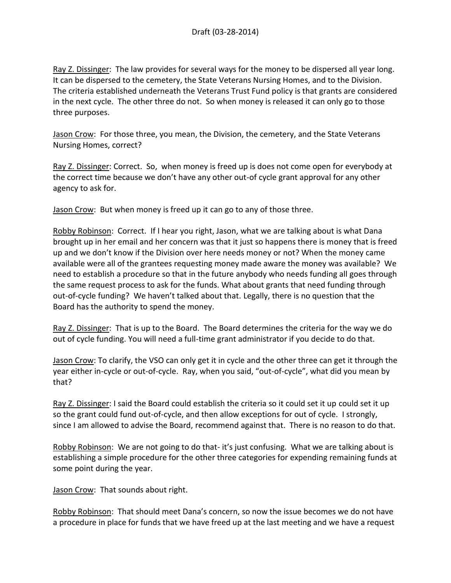Ray Z. Dissinger: The law provides for several ways for the money to be dispersed all year long. It can be dispersed to the cemetery, the State Veterans Nursing Homes, and to the Division. The criteria established underneath the Veterans Trust Fund policy is that grants are considered in the next cycle. The other three do not. So when money is released it can only go to those three purposes.

Jason Crow: For those three, you mean, the Division, the cemetery, and the State Veterans Nursing Homes, correct?

Ray Z. Dissinger: Correct. So, when money is freed up is does not come open for everybody at the correct time because we don't have any other out-of cycle grant approval for any other agency to ask for.

Jason Crow: But when money is freed up it can go to any of those three.

Robby Robinson: Correct. If I hear you right, Jason, what we are talking about is what Dana brought up in her email and her concern was that it just so happens there is money that is freed up and we don't know if the Division over here needs money or not? When the money came available were all of the grantees requesting money made aware the money was available? We need to establish a procedure so that in the future anybody who needs funding all goes through the same request process to ask for the funds. What about grants that need funding through out-of-cycle funding? We haven't talked about that. Legally, there is no question that the Board has the authority to spend the money.

Ray Z. Dissinger: That is up to the Board. The Board determines the criteria for the way we do out of cycle funding. You will need a full-time grant administrator if you decide to do that.

Jason Crow: To clarify, the VSO can only get it in cycle and the other three can get it through the year either in-cycle or out-of-cycle. Ray, when you said, "out-of-cycle", what did you mean by that?

Ray Z. Dissinger: I said the Board could establish the criteria so it could set it up could set it up so the grant could fund out-of-cycle, and then allow exceptions for out of cycle. I strongly, since I am allowed to advise the Board, recommend against that. There is no reason to do that.

Robby Robinson: We are not going to do that-it's just confusing. What we are talking about is establishing a simple procedure for the other three categories for expending remaining funds at some point during the year.

Jason Crow: That sounds about right.

Robby Robinson: That should meet Dana's concern, so now the issue becomes we do not have a procedure in place for funds that we have freed up at the last meeting and we have a request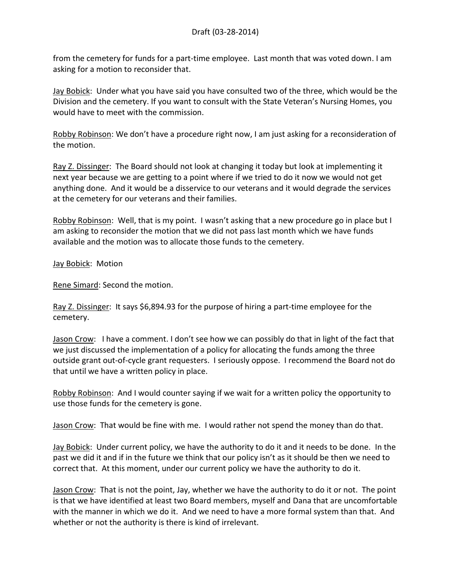from the cemetery for funds for a part-time employee. Last month that was voted down. I am asking for a motion to reconsider that.

Jay Bobick: Under what you have said you have consulted two of the three, which would be the Division and the cemetery. If you want to consult with the State Veteran's Nursing Homes, you would have to meet with the commission.

Robby Robinson: We don't have a procedure right now, I am just asking for a reconsideration of the motion.

Ray Z. Dissinger: The Board should not look at changing it today but look at implementing it next year because we are getting to a point where if we tried to do it now we would not get anything done. And it would be a disservice to our veterans and it would degrade the services at the cemetery for our veterans and their families.

Robby Robinson: Well, that is my point. I wasn't asking that a new procedure go in place but I am asking to reconsider the motion that we did not pass last month which we have funds available and the motion was to allocate those funds to the cemetery.

Jay Bobick: Motion

Rene Simard: Second the motion.

Ray Z. Dissinger: It says \$6,894.93 for the purpose of hiring a part-time employee for the cemetery.

Jason Crow: I have a comment. I don't see how we can possibly do that in light of the fact that we just discussed the implementation of a policy for allocating the funds among the three outside grant out-of-cycle grant requesters. I seriously oppose. I recommend the Board not do that until we have a written policy in place.

Robby Robinson: And I would counter saying if we wait for a written policy the opportunity to use those funds for the cemetery is gone.

Jason Crow: That would be fine with me. I would rather not spend the money than do that.

**Jay Bobick:** Under current policy, we have the authority to do it and it needs to be done. In the past we did it and if in the future we think that our policy isn't as it should be then we need to correct that. At this moment, under our current policy we have the authority to do it.

Jason Crow: That is not the point, Jay, whether we have the authority to do it or not. The point is that we have identified at least two Board members, myself and Dana that are uncomfortable with the manner in which we do it. And we need to have a more formal system than that. And whether or not the authority is there is kind of irrelevant.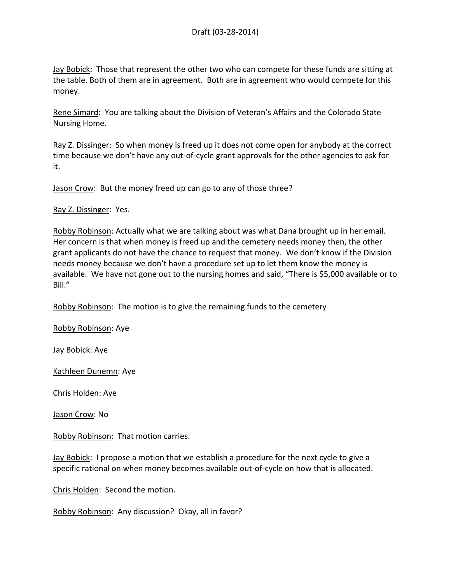Jay Bobick: Those that represent the other two who can compete for these funds are sitting at the table. Both of them are in agreement. Both are in agreement who would compete for this money.

Rene Simard: You are talking about the Division of Veteran's Affairs and the Colorado State Nursing Home.

Ray Z. Dissinger: So when money is freed up it does not come open for anybody at the correct time because we don't have any out-of-cycle grant approvals for the other agencies to ask for it.

Jason Crow: But the money freed up can go to any of those three?

Ray Z. Dissinger: Yes.

Robby Robinson: Actually what we are talking about was what Dana brought up in her email. Her concern is that when money is freed up and the cemetery needs money then, the other grant applicants do not have the chance to request that money. We don't know if the Division needs money because we don't have a procedure set up to let them know the money is available. We have not gone out to the nursing homes and said, "There is \$5,000 available or to Bill."

Robby Robinson: The motion is to give the remaining funds to the cemetery

Robby Robinson: Aye

Jay Bobick: Aye

Kathleen Dunemn: Aye

Chris Holden: Aye

Jason Crow: No

Robby Robinson: That motion carries.

Jay Bobick: I propose a motion that we establish a procedure for the next cycle to give a specific rational on when money becomes available out-of-cycle on how that is allocated.

Chris Holden: Second the motion.

Robby Robinson: Any discussion? Okay, all in favor?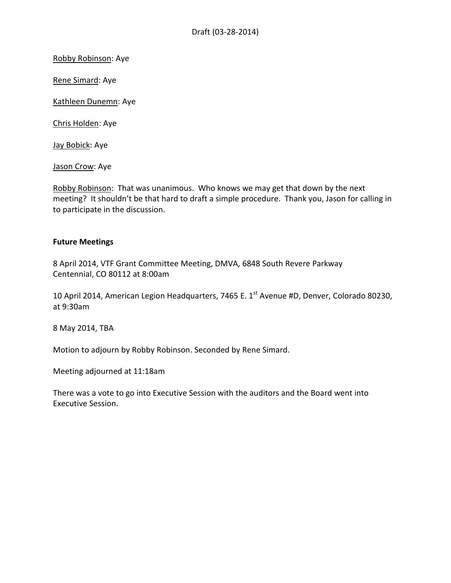Robby Robinson: Aye

Rene Simard: Aye

Kathleen Dunemn: Aye

Chris Holden: Aye

Jay Bobick: Aye

Jason Crow: Aye

Robby Robinson: That was unanimous. Who knows we may get that down by the next meeting? It shouldn't be that hard to draft a simple procedure. Thank you, Jason for calling in to participate in the discussion.

#### **Future Meetings**

8 April 2014, VTF Grant Committee Meeting, DMVA, 6848 South Revere Parkway Centennial, CO 80112 at 8:00am

10 April 2014, American Legion Headquarters, 7465 E. 1<sup>st</sup> Avenue #D, Denver, Colorado 80230, at 9:30am

8 May 2014, TBA

Motion to adjourn by Robby Robinson. Seconded by Rene Simard.

Meeting adjourned at 11:18am

There was a vote to go into Executive Session with the auditors and the Board went into Executive Session.